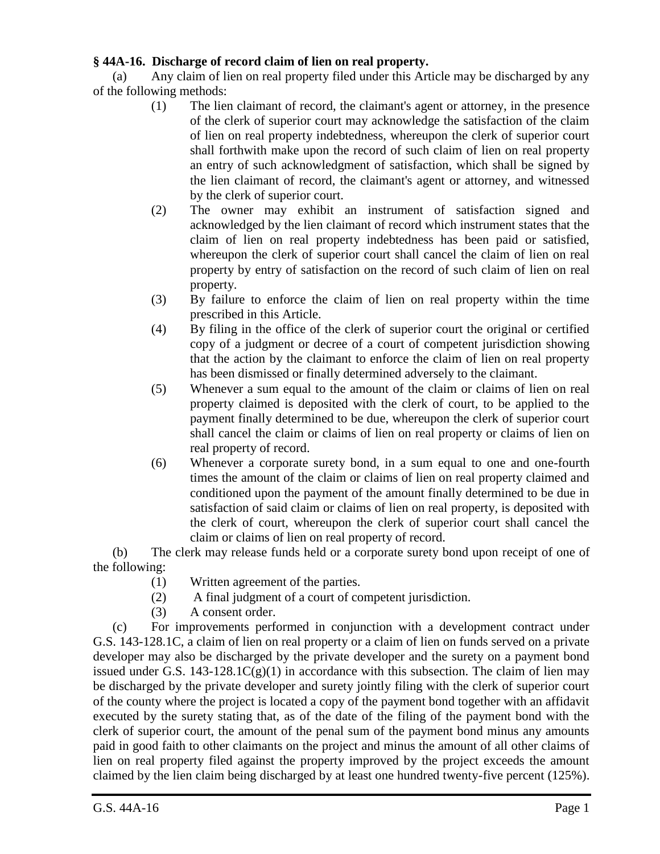## **§ 44A-16. Discharge of record claim of lien on real property.**

(a) Any claim of lien on real property filed under this Article may be discharged by any of the following methods:

- (1) The lien claimant of record, the claimant's agent or attorney, in the presence of the clerk of superior court may acknowledge the satisfaction of the claim of lien on real property indebtedness, whereupon the clerk of superior court shall forthwith make upon the record of such claim of lien on real property an entry of such acknowledgment of satisfaction, which shall be signed by the lien claimant of record, the claimant's agent or attorney, and witnessed by the clerk of superior court.
- (2) The owner may exhibit an instrument of satisfaction signed and acknowledged by the lien claimant of record which instrument states that the claim of lien on real property indebtedness has been paid or satisfied, whereupon the clerk of superior court shall cancel the claim of lien on real property by entry of satisfaction on the record of such claim of lien on real property.
- (3) By failure to enforce the claim of lien on real property within the time prescribed in this Article.
- (4) By filing in the office of the clerk of superior court the original or certified copy of a judgment or decree of a court of competent jurisdiction showing that the action by the claimant to enforce the claim of lien on real property has been dismissed or finally determined adversely to the claimant.
- (5) Whenever a sum equal to the amount of the claim or claims of lien on real property claimed is deposited with the clerk of court, to be applied to the payment finally determined to be due, whereupon the clerk of superior court shall cancel the claim or claims of lien on real property or claims of lien on real property of record.
- (6) Whenever a corporate surety bond, in a sum equal to one and one-fourth times the amount of the claim or claims of lien on real property claimed and conditioned upon the payment of the amount finally determined to be due in satisfaction of said claim or claims of lien on real property, is deposited with the clerk of court, whereupon the clerk of superior court shall cancel the claim or claims of lien on real property of record.

(b) The clerk may release funds held or a corporate surety bond upon receipt of one of the following:

- (1) Written agreement of the parties.
- (2) A final judgment of a court of competent jurisdiction.
- (3) A consent order.

(c) For improvements performed in conjunction with a development contract under G.S. 143-128.1C, a claim of lien on real property or a claim of lien on funds served on a private developer may also be discharged by the private developer and the surety on a payment bond issued under G.S. 143-128.1 $C(g)(1)$  in accordance with this subsection. The claim of lien may be discharged by the private developer and surety jointly filing with the clerk of superior court of the county where the project is located a copy of the payment bond together with an affidavit executed by the surety stating that, as of the date of the filing of the payment bond with the clerk of superior court, the amount of the penal sum of the payment bond minus any amounts paid in good faith to other claimants on the project and minus the amount of all other claims of lien on real property filed against the property improved by the project exceeds the amount claimed by the lien claim being discharged by at least one hundred twenty-five percent (125%).